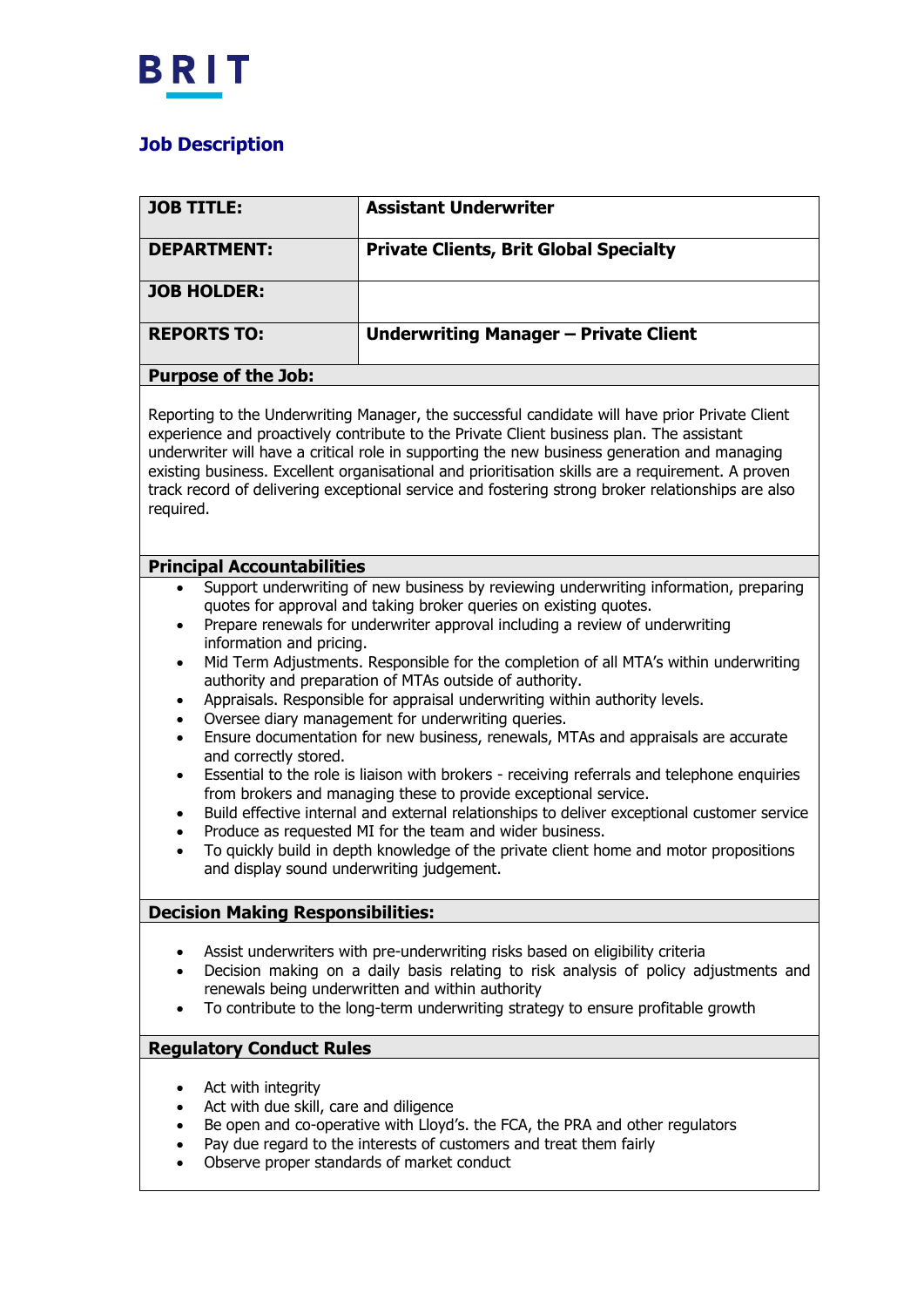

## **Job Description**

| <b>JOB TITLE:</b>                                                                                                                                                                                                                                                                                                                                                                                                                                                                                                                                                                                                                                                                                                                                                                                                                                                                                                                                                                                                                                                                                                                                                                                                                                                     | <b>Assistant Underwriter</b>                  |
|-----------------------------------------------------------------------------------------------------------------------------------------------------------------------------------------------------------------------------------------------------------------------------------------------------------------------------------------------------------------------------------------------------------------------------------------------------------------------------------------------------------------------------------------------------------------------------------------------------------------------------------------------------------------------------------------------------------------------------------------------------------------------------------------------------------------------------------------------------------------------------------------------------------------------------------------------------------------------------------------------------------------------------------------------------------------------------------------------------------------------------------------------------------------------------------------------------------------------------------------------------------------------|-----------------------------------------------|
| <b>DEPARTMENT:</b>                                                                                                                                                                                                                                                                                                                                                                                                                                                                                                                                                                                                                                                                                                                                                                                                                                                                                                                                                                                                                                                                                                                                                                                                                                                    | <b>Private Clients, Brit Global Specialty</b> |
|                                                                                                                                                                                                                                                                                                                                                                                                                                                                                                                                                                                                                                                                                                                                                                                                                                                                                                                                                                                                                                                                                                                                                                                                                                                                       |                                               |
| <b>JOB HOLDER:</b>                                                                                                                                                                                                                                                                                                                                                                                                                                                                                                                                                                                                                                                                                                                                                                                                                                                                                                                                                                                                                                                                                                                                                                                                                                                    |                                               |
| <b>REPORTS TO:</b>                                                                                                                                                                                                                                                                                                                                                                                                                                                                                                                                                                                                                                                                                                                                                                                                                                                                                                                                                                                                                                                                                                                                                                                                                                                    | <b>Underwriting Manager - Private Client</b>  |
| <b>Purpose of the Job:</b>                                                                                                                                                                                                                                                                                                                                                                                                                                                                                                                                                                                                                                                                                                                                                                                                                                                                                                                                                                                                                                                                                                                                                                                                                                            |                                               |
| Reporting to the Underwriting Manager, the successful candidate will have prior Private Client<br>experience and proactively contribute to the Private Client business plan. The assistant<br>underwriter will have a critical role in supporting the new business generation and managing<br>existing business. Excellent organisational and prioritisation skills are a requirement. A proven<br>track record of delivering exceptional service and fostering strong broker relationships are also<br>required.                                                                                                                                                                                                                                                                                                                                                                                                                                                                                                                                                                                                                                                                                                                                                     |                                               |
| <b>Principal Accountabilities</b>                                                                                                                                                                                                                                                                                                                                                                                                                                                                                                                                                                                                                                                                                                                                                                                                                                                                                                                                                                                                                                                                                                                                                                                                                                     |                                               |
| Support underwriting of new business by reviewing underwriting information, preparing<br>quotes for approval and taking broker queries on existing quotes.<br>Prepare renewals for underwriter approval including a review of underwriting<br>$\bullet$<br>information and pricing.<br>Mid Term Adjustments. Responsible for the completion of all MTA's within underwriting<br>$\bullet$<br>authority and preparation of MTAs outside of authority.<br>Appraisals. Responsible for appraisal underwriting within authority levels.<br>$\bullet$<br>Oversee diary management for underwriting queries.<br>$\bullet$<br>Ensure documentation for new business, renewals, MTAs and appraisals are accurate<br>$\bullet$<br>and correctly stored.<br>Essential to the role is liaison with brokers - receiving referrals and telephone enquiries<br>$\bullet$<br>from brokers and managing these to provide exceptional service.<br>Build effective internal and external relationships to deliver exceptional customer service<br>$\bullet$<br>Produce as requested MI for the team and wider business.<br>$\bullet$<br>To quickly build in depth knowledge of the private client home and motor propositions<br>$\bullet$<br>and display sound underwriting judgement. |                                               |
| <b>Decision Making Responsibilities:</b>                                                                                                                                                                                                                                                                                                                                                                                                                                                                                                                                                                                                                                                                                                                                                                                                                                                                                                                                                                                                                                                                                                                                                                                                                              |                                               |
| Assist underwriters with pre-underwriting risks based on eligibility criteria<br>$\bullet$<br>Decision making on a daily basis relating to risk analysis of policy adjustments and<br>renewals being underwritten and within authority<br>To contribute to the long-term underwriting strategy to ensure profitable growth                                                                                                                                                                                                                                                                                                                                                                                                                                                                                                                                                                                                                                                                                                                                                                                                                                                                                                                                            |                                               |
| <b>Regulatory Conduct Rules</b>                                                                                                                                                                                                                                                                                                                                                                                                                                                                                                                                                                                                                                                                                                                                                                                                                                                                                                                                                                                                                                                                                                                                                                                                                                       |                                               |
| Act with integrity<br>٠<br>Act with due skill, care and diligence<br>$\bullet$<br>Be open and co-operative with Lloyd's. the FCA, the PRA and other regulators<br>$\bullet$<br>Pay due regard to the interests of customers and treat them fairly<br>$\bullet$<br>Observe proper standards of market conduct                                                                                                                                                                                                                                                                                                                                                                                                                                                                                                                                                                                                                                                                                                                                                                                                                                                                                                                                                          |                                               |